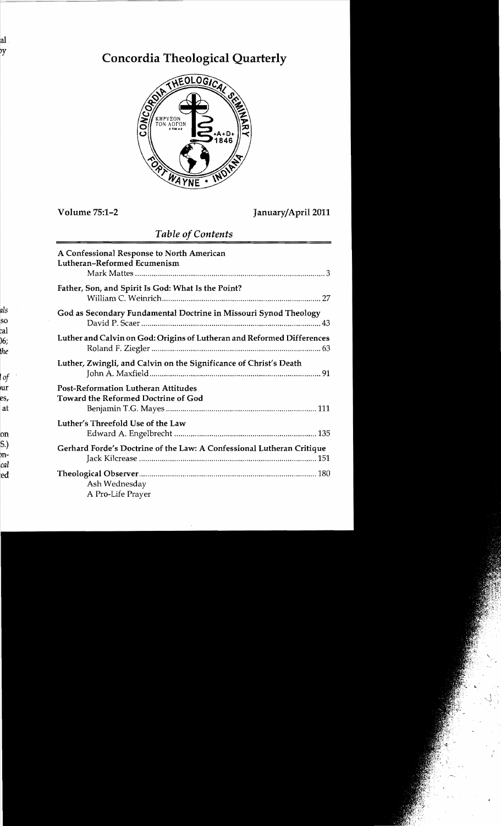# **Concordia Theological Quarterly**



## Volume 75:1-2 JanuaryjApril2011

## *Table of Contents*

| A Confessional Response to North American<br>Lutheran-Reformed Ecumenism                 |                                                                        |  |
|------------------------------------------------------------------------------------------|------------------------------------------------------------------------|--|
| Father, Son, and Spirit Is God: What Is the Point?                                       |                                                                        |  |
|                                                                                          | God as Secondary Fundamental Doctrine in Missouri Synod Theology       |  |
|                                                                                          | Luther and Calvin on God: Origins of Lutheran and Reformed Differences |  |
|                                                                                          | Luther, Zwingli, and Calvin on the Significance of Christ's Death      |  |
| <b>Post-Reformation Lutheran Attitudes</b><br><b>Toward the Reformed Doctrine of God</b> |                                                                        |  |
| Luther's Threefold Use of the Law                                                        |                                                                        |  |
|                                                                                          | Gerhard Forde's Doctrine of the Law: A Confessional Lutheran Critique  |  |
| Ash Wednesday<br>A Pro-Life Prayer                                                       |                                                                        |  |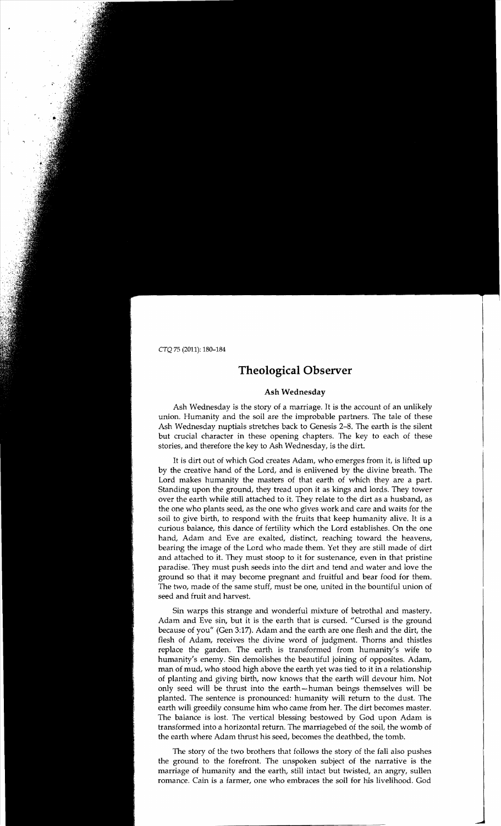## **Theological Observer**

#### **Ash Wednesday**

Ash Wednesday is the story of a marriage. It is the account of an unlikely union. Humanity and the soil are the improbable partners. The tale of these Ash Wednesday nuptials stretches back to Genesis 2-8. The earth is the silent but crucial character in these opening chapters. The key to each of these stories, and therefore the key to Ash Wednesday, is the dirt.

It is dirt out of which God creates Adam, who emerges from it, is lifted up by the creative hand of the Lord, and is enlivened by the divine breath. The Lord makes humanity the masters of that earth of which they are a part. Standing upon the ground, they tread upon it as kings and lords. They tower over the earth while still attached to it. They relate to the dirt as a husband, as the one who plants seed, as the one who gives work and care and waits for the soil to give birth, to respond with the fruits that keep humanity alive. It is a curious balance, this dance of fertility which the Lord establishes. On the one hand, Adam and Eve are exalted, distinct, reaching toward the heavens, bearing the image of the Lord who made them. Yet they are still made of dirt and attached to it. They must stoop to it for sustenance, even in that pristine paradise. They must push seeds into the dirt and tend and water and love the ground so that it may become pregnant and fruitful and bear food for them. The two, made of the same stuff, must be one, united in the bountiful union of seed and fruit and harvest.

Sin warps this strange and wonderful mixture of betrothal and mastery. Adam and Eve sin, but it is the earth that is cursed. "Cursed is the ground because of you" (Gen 3:17). Adam and the earth are one flesh and the dirt, the flesh of Adam, receives the divine word of judgment. Thorns and thistles replace the garden. The earth is transformed from humanity's wife to humanity's enemy. Sin demolishes the beautiful joining of opposites. Adam, man of mud, who stood high above the earth yet was tied to it in a relationship of planting and giving birth, now knows that the earth will devour him. Not only seed will be thrust into the earth- human beings themselves will be planted. The sentence is pronounced: humanity will return to the dust. The earth will greedily consume him who came from her. The dirt becomes master. The balance is lost. The vertical blessing bestowed by God upon Adam is transformed into a horizontal return. The marriagebed of the soil, the womb of the earth where Adam thrust his seed, becomes the deathbed, the tomb.

The story of the two brothers that follows the story of the fall also pushes the ground to the forefront. The unspoken subject of the narrative is the marriage of humanity and the earth, still intact but twisted, an angry, sullen romance. Cain is a farmer, one who embraces the soil for his livelihood. God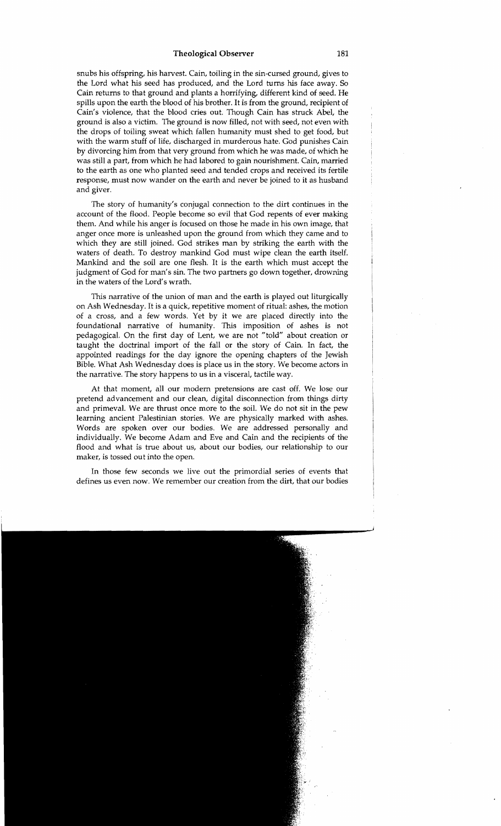#### Theological Observer 181

snubs his offspring, his harvest. Cain, toiling in the sin-cursed ground, gives to the Lord what his seed has produced, and the Lord turns his face away. So Cain returns to that ground and plants a horrifying, different kind of seed. He spills upon the earth the blood of his brother. It is from the ground, recipient of Cain's violence, that the blood cries out. Though Cain has struck Abel, the ground is also a victim. The ground is now filled, not with seed, not even with the drops of toiling sweat which fallen humanity must shed to get food, but with the warm stuff of life, discharged in murderous hate. God punishes Cain by divorcing him from that very ground from which he was made, of which he was still a part, from which he had labored to gain nourishment. Cain, married to the earth as one who planted seed and tended crops and received its fertile response, must now wander on the earth and never be joined to it as husband and giver.

The story of humanity's conjugal connection to the dirt continues in the account of the flood. People become so evil that God repents of ever making them. And while his anger is focused on those he made in his own image, that anger once more is unleashed upon the ground from which they came and to which they are still joined. God strikes man by striking the earth with the waters of death. To destroy mankind God must wipe clean the earth itself. Mankind and the soil are one flesh. It is the earth which must accept the judgment of God for man's sin. The two partners go down together, drowning in the waters of the Lord's wrath.

This narrative of the union of man and the earth is played out liturgically on Ash Wednesday. It is a quick, repetitive moment of ritual: ashes, the motion of a cross, and a few words. Yet by it we are placed directly into the foundational narrative of humanity. This imposition of ashes is not pedagogical. On the first day of Lent, we are not "told" about creation or taught the doctrinal import of the fall or the story of Cain. In fact, the appointed readings for the day ignore the opening chapters of the Jewish Bible. What Ash Wednesday does is place us in the story. We become actors in the narrative. The story happens to us in a visceral, tactile way.

At that moment, all our modern pretensions are cast off. We lose our pretend advancement and our clean, digital disconnection from things dirty and primeval. We are thrust once more to the soil. We do not sit in the pew learning ancient Palestinian stories. We are physically marked with ashes. Words are spoken over our bodies. We are addressed personally and individually. We become Adam and Eve and Cain and the recipients of the flood and what is true about us, about our bodies, our relationship to our maker, is tossed out into the open.

In those few seconds we live out the primordial series of events that defines us even now. We remember our creation from the dirt, that our bodies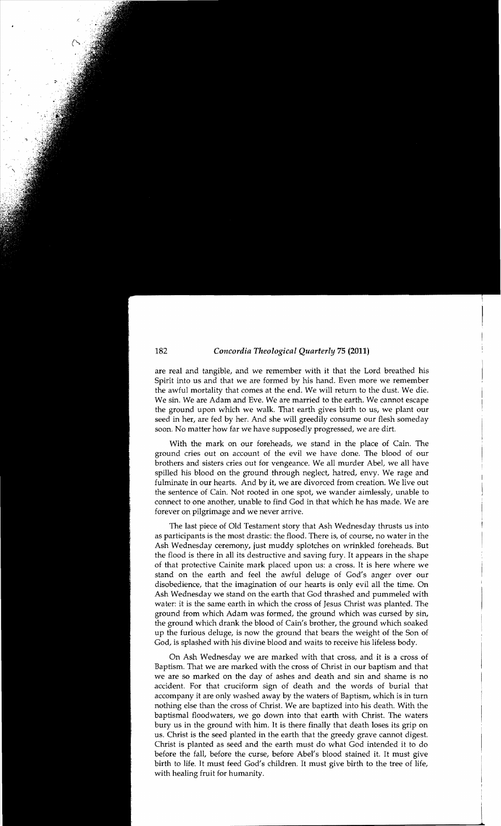#### 182 *Concordia Theological Quarterly* 75 (2011)

are real and tangible, and we remember with it that the Lord breathed his Spirit into us and that we are formed by his hand. Even more we remember the awful mortality that comes at the end. We will return to the dust. We die. We sin. We are Adam and Eve. We are married to the earth. We cannot escape the ground upon which we walk. That earth gives birth to us, we plant our seed in her, are fed by her. And she will greedily consume our flesh someday soon. No matter how far we have supposedly progressed, we are dirt.

With the mark on our foreheads, we stand in the place of Cain. The ground cries out on account of the evil we have done. The blood of our brothers and sisters cries out for vengeance. We all murder Abel, we all have spilled his blood on the ground through neglect, hatred, envy. We rage and fulminate in our hearts. And by it, we are divorced from creation. We live out the sentence of Cain. Not rooted in one spot, we wander aimlessly, unable to connect to one another, unable to find God in that which he has made. We are forever on pilgrimage and we never arrive.

The last piece of Old Testament story that Ash Wednesday thrusts us into as participants is the most drastic: the flood. There is, of course, no water in the Ash Wednesday ceremony, just muddy splotches on wrinkled foreheads. But the flood is there in all its destructive and saving fury. It appears in the shape of that protective Cainite mark placed upon us: a cross. It is here where we stand on the earth and feel the awful deluge of God's anger over our disobedience, that the imagination of our hearts is only evil all the time. On Ash Wednesday we stand on the earth that God thrashed and pummeled with water: it is the same earth in which the cross of Jesus Christ was planted. The ground from which Adam was formed, the ground which was cursed by sin, the ground which drank the blood of Cain's brother, the ground which soaked up the furious deluge, is now the ground that bears the weight of the Son of God, is splashed with his divine blood and waits to receive his lifeless body.

On Ash Wednesday we are marked with that cross, and it is a cross of Baptism. That we are marked with the cross of Christ in our baptism and that we are so marked on the day of ashes and death and sin and shame is no accident. For that cruciform sign of death and the words of burial that accompany it are only washed away by the waters of Baptism, which is in tum nothing else than the cross of Christ. We are baptized into his death. With the baptismal floodwaters, we go down into that earth with Christ. The waters bury us in the ground with him. It is there finally that death loses its grip on us. Christ is the seed planted in the earth that the greedy grave cannot digest. Christ is planted as seed and the earth must do what God intended it to do before the fall, before the curse, before Abel's blood stained it. It must give birth to life. It must feed God's children. It must give birth to the tree of life, with healing fruit for humanity.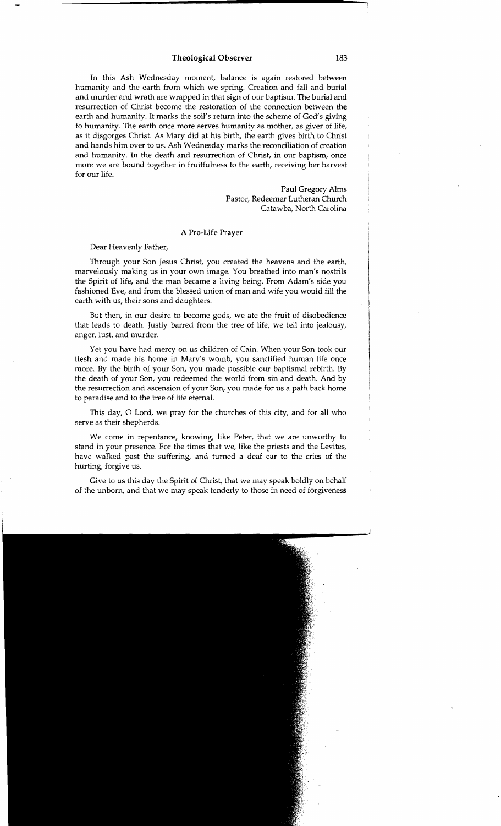#### **Theological Observer** 183

In this Ash Wednesday moment, balance is again restored between humanity and the earth from which we spring. Creation and fall and burial and murder and wrath are wrapped in that sign of our baptism. The burial and resurrection of Christ become the restoration of the connection between the earth and humanity. It marks the soil's return into the scheme of God's giving to humanity. The earth once more serves humanity as mother, as giver of life, as it disgorges Christ. As Mary did at his birth, the earth gives birth to Christ and hands him over to us. Ash Wednesday marks the reconciliation of creation and humanity. In the death and resurrection of Christ, in our baptism, once more we are bound together in fruitfulness to the earth, receiving her harvest for our life.

> Paul Gregory Alms Pastor, Redeemer Lutheran Church Catawba, North Carolina

#### A Pro-Life Prayer

Dear Heavenly Father,

Through your Son Jesus Christ, you created the heavens and the earth, marvelously making us in your own image. You breathed into man's nostrils the Spirit of life, and the man became a living being. From Adam's side you fashioned Eve, and from the blessed union of man and wife you would fill the earth with us, their sons and daughters.

But then, in our desire to become gods, we ate the fruit of disobedience that leads to death. Justly barred from the tree of life, we fell into jealousy, anger, lust, and murder.

Yet you have had mercy on us children of Cain. When your Son took our flesh and made his home in Mary's womb, you sanctified human life once more. By the birth of your Son, you made possible our baptismal rebirth. By the death of your Son, you redeemed the world from sin and death. And by the resurrection and ascension of your Son, you made for us a path back home to paradise and to the tree of life eternal.

This day, 0 Lord, we pray for the churches of this city, and for all who serve as their shepherds.

We come in repentance, knowing, like Peter, that we are unworthy to stand in your presence. For the times that we, like the priests and the Levites, have walked past the suffering, and turned a deaf ear to the cries of the hurting, forgive us.

Give to us this day the Spirit of Christ, that we may speak boldly on behalf of the unborn, and that we may speak tenderly to those in need of forgiveness